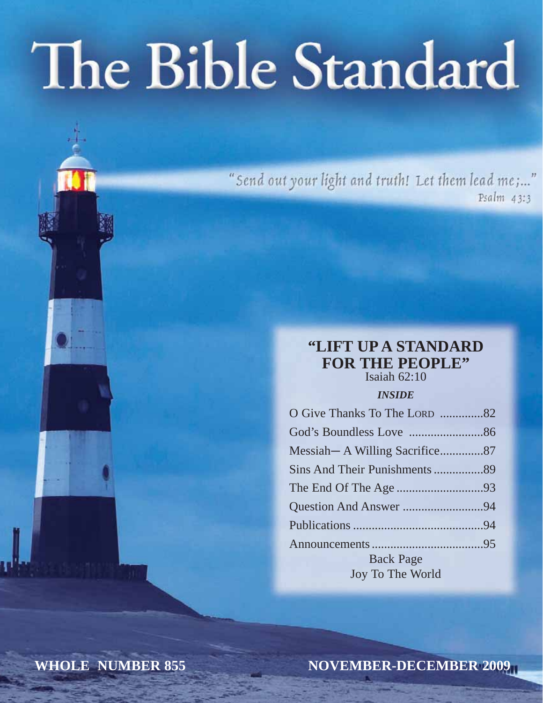# The Bible Standard

"Send out your light and truth! Let them lead me;..." Psalm 43:3

### **"LIFT UP A STANDARD FOR THE PEOPLE"**

Isaiah 62:10

#### *INSIDE*

| O Give Thanks To The LORD 82  |  |
|-------------------------------|--|
|                               |  |
| Messiah—A Willing Sacrifice87 |  |
|                               |  |
|                               |  |
|                               |  |
|                               |  |
|                               |  |
| <b>Back Page</b>              |  |
| Joy To The World              |  |

**WHOLE NUMBER 855**

**NOVEMBER-DECEMBER 2009**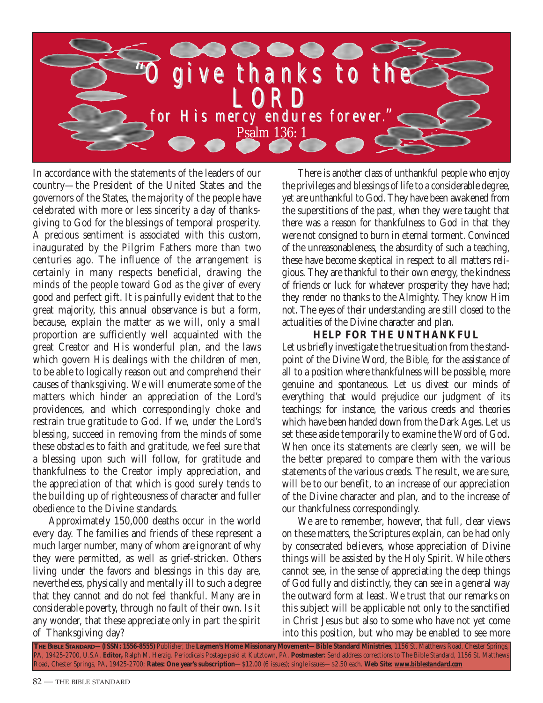

In accordance with the statements of the leaders of our country—the President of the United States and the governors of the States, the majority of the people have celebrated with more or less sincerity a day of thanksgiving to God for the blessings of temporal prosperity. A precious sentiment is associated with this custom, inaugurated by the Pilgrim Fathers more than two centuries ago. The influence of the arrangement is certainly in many respects beneficial, drawing the minds of the people toward God as the giver of every good and perfect gift. It is painfully evident that to the great majority, this annual observance is but a form, because, explain the matter as we will, only a small proportion are sufficiently well acquainted with the great Creator and His wonderful plan, and the laws which govern His dealings with the children of men, to be able to logically reason out and comprehend their causes of thanksgiving. We will enumerate some of the matters which hinder an appreciation of the Lord's providences, and which correspondingly choke and restrain true gratitude to God. If we, under the Lord's blessing, succeed in removing from the minds of some these obstacles to faith and gratitude, we feel sure that a blessing upon such will follow, for gratitude and thankfulness to the Creator imply appreciation, and the appreciation of that which is good surely tends to the building up of righteousness of character and fuller obedience to the Divine standards.

Approximately 150,000 deaths occur in the world every day. The families and friends of these represent a much larger number, many of whom are ignorant of why they were permitted, as well as grief-stricken. Others living under the favors and blessings in this day are, nevertheless, physically and mentally ill to such a degree that they cannot and do not feel thankful. Many are in considerable poverty, through no fault of their own. Is it any wonder, that these appreciate only in part the spirit of Thanksgiving day?

There is another class of unthankful people who enjoy the privileges and blessings of life to a considerable degree, yet are unthankful to God. They have been awakened from the superstitions of the past, when they were taught that there was a reason for thankfulness to God in that they were not consigned to burn in eternal torment. Convinced of the unreasonableness, the absurdity of such a teaching, these have become skeptical in respect to all matters religious. They are thankful to their own energy, the kindness of friends or luck for whatever prosperity they have had; they render no thanks to the Almighty. They know Him not. The eyes of their understanding are still closed to the actualities of the Divine character and plan.

#### **HELP FOR THE UNTHANKFUL**

Let us briefly investigate the true situation from the standpoint of the Divine Word, the Bible, for the assistance of all to a position where thankfulness will be possible, more genuine and spontaneous. Let us divest our minds of everything that would prejudice our judgment of its teachings; for instance, the various creeds and theories which have been handed down from the Dark Ages. Let us set these aside temporarily to examine the Word of God. When once its statements are clearly seen, we will be the better prepared to compare them with the various statements of the various creeds. The result, we are sure, will be to our benefit, to an increase of our appreciation of the Divine character and plan, and to the increase of our thankfulness correspondingly.

We are to remember, however, that full, clear views on these matters, the Scriptures explain, can be had only by consecrated believers, whose appreciation of Divine things will be assisted by the Holy Spirit. While others cannot see, in the sense of appreciating the deep things of God fully and distinctly, they can see in a general way the outward form at least. We trust that our remarks on this subject will be applicable not only to the sanctified in Christ Jesus but also to some who have not yet come into this position, but who may be enabled to see more

**THE BIBLE STANDARD—(ISSN: 1556-8555)** Publisher, the **Laymen's Home Missionary Movement—Bible Standard Ministries**, 1156 St. Matthews Road, Chester Springs, PA, 19425-2700, U.S.A. **Editor,** Ralph M. Herzig. Periodicals Postage paid at Kutztown, PA. **Postmaster:** Send address corrections to The Bible Standard, 1156 St. Matthews Road, Chester Springs, PA, 19425-2700; **Rates: One year's subscription**—\$12.00 (6 issues); single issues—\$2.50 each. **Web Site:** *www.biblestandard.com*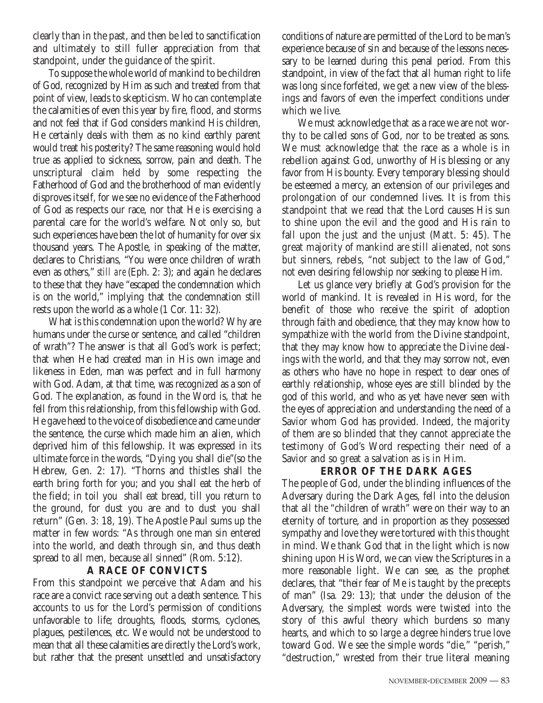clearly than in the past, and then be led to sanctification and ultimately to still fuller appreciation from that standpoint, under the guidance of the spirit.

To suppose the whole world of mankind to be children of God, recognized by Him as such and treated from that point of view, leads to skepticism. Who can contemplate the calamities of even this year by fire, flood, and storms and not feel that if God considers mankind His children, He certainly deals with them as no kind earthly parent would treat his posterity? The same reasoning would hold true as applied to sickness, sorrow, pain and death. The unscriptural claim held by some respecting the Fatherhood of God and the brotherhood of man evidently disproves itself, for we see no evidence of the Fatherhood of God as respects our race, nor that He is exercising a parental care for the world's welfare. Not only so, but such experiences have been the lot of humanity for over six thousand years. The Apostle, in speaking of the matter, declares to Christians, "You were once children of wrath even as others," *still are* (Eph. 2: 3); and again he declares to these that they have "escaped the condemnation which is on the world," implying that the condemnation still rests upon the world as a whole (1 Cor. 11: 32).

What is this condemnation upon the world? Why are humans under the curse or sentence, and called "children of wrath"? The answer is that all God's work is perfect; that when He had created man in His own image and likeness in Eden, man was perfect and in full harmony with God. Adam, at that time, was recognized as a son of God. The explanation, as found in the Word is, that he fell from this relationship, from this fellowship with God. He gave heed to the voice of disobedience and came under the sentence, the curse which made him an alien, which deprived him of this fellowship. It was expressed in its ultimate force in the words, "Dying you shall die"(so the Hebrew, Gen. 2: 17). "Thorns and thistles shall the earth bring forth for you; and you shall eat the herb of the field; in toil you shall eat bread, till you return to the ground, for dust you are and to dust you shall return" (Gen. 3: 18, 19). The Apostle Paul sums up the matter in few words: "As through one man sin entered into the world, and death through sin, and thus death spread to all men, because all sinned" (Rom. 5:12).

#### **A RACE OF CONVICTS**

From this standpoint we perceive that Adam and his race are a convict race serving out a death sentence. This accounts to us for the Lord's permission of conditions unfavorable to life; droughts, floods, storms, cyclones, plagues, pestilences, etc. We would not be understood to mean that all these calamities are directly the Lord's work, but rather that the present unsettled and unsatisfactory conditions of nature are permitted of the Lord to be man's experience because of sin and because of the lessons necessary to be learned during this penal period. From this standpoint, in view of the fact that all human right to life was long since forfeited, we get a new view of the blessings and favors of even the imperfect conditions under which we live.

We must acknowledge that as a race we are not worthy to be called sons of God, nor to be treated as sons. We must acknowledge that the race as a whole is in rebellion against God, unworthy of His blessing or any favor from His bounty. Every temporary blessing should be esteemed a mercy, an extension of our privileges and prolongation of our condemned lives. It is from this standpoint that we read that the Lord causes His sun to shine upon the evil and the good and His rain to fall upon the just and the unjust (Matt. 5: 45). The great majority of mankind are still alienated, not sons but sinners, rebels, "not subject to the law of God," not even desiring fellowship nor seeking to please Him.

Let us glance very briefly at God's provision for the world of mankind. It is revealed in His word, for the benefit of those who receive the spirit of adoption through faith and obedience, that they may know how to sympathize with the world from the Divine standpoint, that they may know how to appreciate the Divine dealings with the world, and that they may sorrow not, even as others who have no hope in respect to dear ones of earthly relationship, whose eyes are still blinded by the god of this world, and who as yet have never seen with the eyes of appreciation and understanding the need of a Savior whom God has provided. Indeed, the majority of them are so blinded that they cannot appreciate the testimony of God's Word respecting their need of a Savior and so great a salvation as is in Him.

#### **ERROR OF THE DARK AGES**

The people of God, under the blinding influences of the Adversary during the Dark Ages, fell into the delusion that all the "children of wrath" were on their way to an eternity of torture, and in proportion as they possessed sympathy and love they were tortured with this thought in mind. We thank God that in the light which is now shining upon His Word, we can view the Scriptures in a more reasonable light. We can see, as the prophet declares, that "their fear of Me is taught by the precepts of man" (Isa. 29: 13); that under the delusion of the Adversary, the simplest words were twisted into the story of this awful theory which burdens so many hearts, and which to so large a degree hinders true love toward God. We see the simple words "die," "perish," "destruction," wrested from their true literal meaning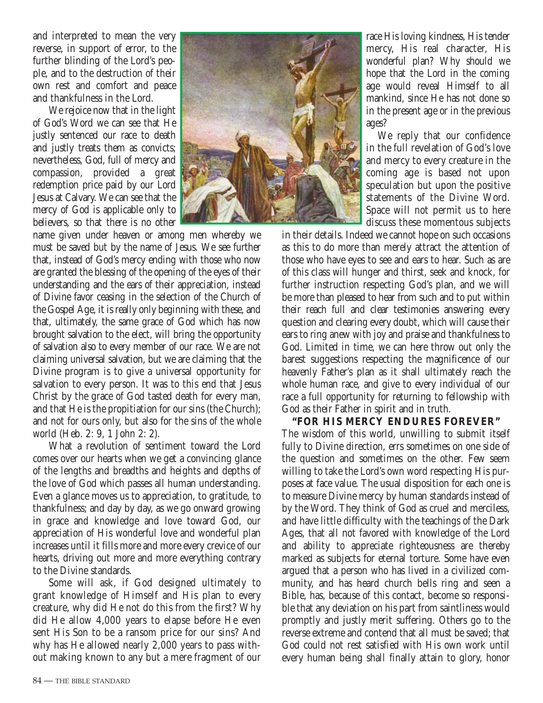and interpreted to mean the very reverse, in support of error, to the further blinding of the Lord's people, and to the destruction of their own rest and comfort and peace and thankfulness in the Lord.

We rejoice now that in the light of God's Word we can see that He justly sentenced our race to death and justly treats them as convicts; nevertheless, God, full of mercy and compassion, provided a great redemption price paid by our Lord Jesus at Calvary. We can see that the mercy of God is applicable only to believers, so that there is no other

name given under heaven or among men whereby we must be saved but by the name of Jesus. We see further that, instead of God's mercy ending with those who now are granted the blessing of the opening of the eyes of their understanding and the ears of their appreciation, instead of Divine favor ceasing in the selection of the Church of the Gospel Age, it is really only beginning with these, and that, ultimately, the same grace of God which has now brought salvation to the elect, will bring the opportunity of salvation also to every member of our race. We are not claiming universal salvation, but we are claiming that the Divine program is to give a universal opportunity for salvation to every person. It was to this end that Jesus Christ by the grace of God tasted death for every man, and that He is the propitiation for our sins (the Church); and not for ours only, but also for the sins of the whole world (Heb. 2: 9, 1 John 2: 2).

What a revolution of sentiment toward the Lord comes over our hearts when we get a convincing glance of the lengths and breadths and heights and depths of the love of God which passes all human understanding. Even a glance moves us to appreciation, to gratitude, to thankfulness; and day by day, as we go onward growing in grace and knowledge and love toward God, our appreciation of His wonderful love and wonderful plan increases until it fills more and more every crevice of our hearts, driving out more and more everything contrary to the Divine standards.

Some will ask, if God designed ultimately to grant knowledge of Himself and His plan to every creature, why did He not do this from the first? Why did He allow 4,000 years to elapse before He even sent His Son to be a ransom price for our sins? And why has He allowed nearly 2,000 years to pass without making known to any but a mere fragment of our



race His loving kindness, His tender mercy, His real character, His wonderful plan? Why should we hope that the Lord in the coming age would reveal Himself to all mankind, since He has not done so in the present age or in the previous ages?

We reply that our confidence in the full revelation of God's love and mercy to every creature in the coming age is based not upon speculation but upon the positive statements of the Divine Word. Space will not permit us to here discuss these momentous subjects

in their details. Indeed we cannot hope on such occasions as this to do more than merely attract the attention of those who have eyes to see and ears to hear. Such as are of this class will hunger and thirst, seek and knock, for further instruction respecting God's plan, and we will be more than pleased to hear from such and to put within their reach full and clear testimonies answering every question and clearing every doubt, which will cause their ears to ring anew with joy and praise and thankfulness to God. Limited in time, we can here throw out only the barest suggestions respecting the magnificence of our heavenly Father's plan as it shall ultimately reach the whole human race, and give to every individual of our race a full opportunity for returning to fellowship with God as their Father in spirit and in truth.

#### **"FOR HIS MERCY ENDURES FOREVER"**

The wisdom of this world, unwilling to submit itself fully to Divine direction, errs sometimes on one side of the question and sometimes on the other. Few seem willing to take the Lord's own word respecting His purposes at face value. The usual disposition for each one is to measure Divine mercy by human standards instead of by the Word. They think of God as cruel and merciless, and have little difficulty with the teachings of the Dark Ages, that all not favored with knowledge of the Lord and ability to appreciate righteousness are thereby marked as subjects for eternal torture. Some have even argued that a person who has lived in a civilized community, and has heard church bells ring and seen a Bible, has, because of this contact, become so responsible that any deviation on his part from saintliness would promptly and justly merit suffering. Others go to the reverse extreme and contend that all must be saved; that God could not rest satisfied with His own work until every human being shall finally attain to glory, honor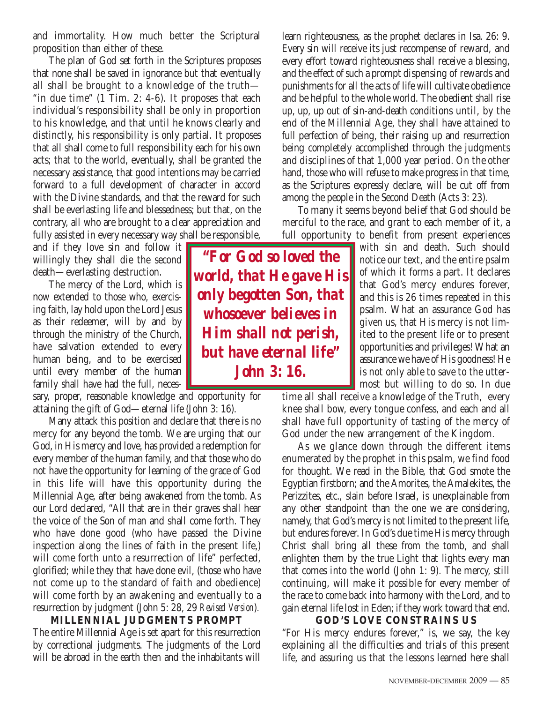and immortality. How much better the Scriptural proposition than either of these.

The plan of God set forth in the Scriptures proposes that none shall be saved in ignorance but that eventually all shall be brought to a knowledge of the truth— "in due time" (1 Tim. 2: 4-6). It proposes that each individual's responsibility shall be only in proportion to his knowledge, and that until he knows clearly and distinctly, his responsibility is only partial. It proposes that all shall come to full responsibility each for his own acts; that to the world, eventually, shall be granted the necessary assistance, that good intentions may be carried forward to a full development of character in accord with the Divine standards, and that the reward for such shall be everlasting life and blessedness; but that, on the contrary, all who are brought to a clear appreciation and fully assisted in every necessary way shall be responsible,

and if they love sin and follow it willingly they shall die the second death—everlasting destruction.

The mercy of the Lord, which is now extended to those who, exercising faith, lay hold upon the Lord Jesus as their redeemer, will by and by through the ministry of the Church, have salvation extended to every human being, and to be exercised until every member of the human family shall have had the full, neces-

sary, proper, reasonable knowledge and opportunity for attaining the gift of God—eternal life (John 3: 16).

Many attack this position and declare that there is no mercy for any beyond the tomb. We are urging that our God, in His mercy and love, has provided a redemption for every member of the human family, and that those who do not have the opportunity for learning of the grace of God in this life will have this opportunity during the Millennial Age, after being awakened from the tomb. As our Lord declared, "All that are in their graves shall hear the voice of the Son of man and shall come forth. They who have done good (who have passed the Divine inspection along the lines of faith in the present life,) will come forth unto a resurrection of life" perfected, glorified; while they that have done evil, (those who have not come up to the standard of faith and obedience) will come forth by an awakening and eventually to a resurrection by judgment (John 5: 28, 29 *Revised Version*).

**MILLENNIAL JUDGMENTS PROMPT** The entire Millennial Age is set apart for this resurrection by correctional judgments. The judgments of the Lord will be abroad in the earth then and the inhabitants will

*"For God so loved the world, that He gave His only begotten Son, that whosoever believes in Him shall not perish, but have eternal life" John 3: 16.*

learn righteousness, as the prophet declares in Isa. 26: 9. Every sin will receive its just recompense of reward, and every effort toward righteousness shall receive a blessing, and the effect of such a prompt dispensing of rewards and punishments for all the acts of life will cultivate obedience and be helpful to the whole world. The obedient shall rise up, up, up out of sin-and-death conditions until, by the end of the Millennial Age, they shall have attained to full perfection of being, their raising up and resurrection being completely accomplished through the judgments and disciplines of that 1,000 year period. On the other hand, those who will refuse to make progress in that time, as the Scriptures expressly declare, will be cut off from among the people in the Second Death (Acts 3: 23).

To many it seems beyond belief that God should be merciful to the race, and grant to each member of it, a full opportunity to benefit from present experiences

> with sin and death. Such should notice our text, and the entire psalm of which it forms a part. It declares that God's mercy endures forever, and this is 26 times repeated in this psalm. What an assurance God has given us, that His mercy is not limited to the present life or to present opportunities and privileges! What an assurance we have of His goodness! He is not only able to save to the uttermost but willing to do so. In due

time all shall receive a knowledge of the Truth, every knee shall bow, every tongue confess, and each and all shall have full opportunity of tasting of the mercy of God under the new arrangement of the Kingdom.

As we glance down through the different items enumerated by the prophet in this psalm, we find food for thought. We read in the Bible, that God smote the Egyptian firstborn; and the Amorites, the Amalekites, the Perizzites, etc., slain before Israel, is unexplainable from any other standpoint than the one we are considering, namely, that God's mercy is not limited to the present life, but endures forever. In God's due time His mercy through Christ shall bring all these from the tomb, and shall enlighten them by the true Light that lights every man that comes into the world (John 1: 9). The mercy, still continuing, will make it possible for every member of the race to come back into harmony with the Lord, and to gain eternal life lost in Eden; if they work toward that end.

#### **GOD'S LOVE CONSTRAINS US**

"For His mercy endures forever," is, we say, the key explaining all the difficulties and trials of this present life, and assuring us that the lessons learned here shall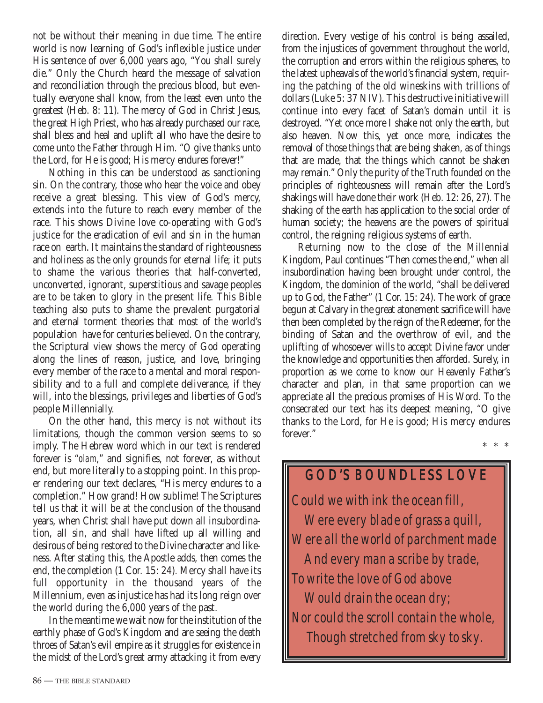not be without their meaning in due time. The entire world is now learning of God's inflexible justice under His sentence of over 6,000 years ago, "You shall surely die." Only the Church heard the message of salvation and reconciliation through the precious blood, but eventually everyone shall know, from the least even unto the greatest (Heb. 8: 11). The mercy of God in Christ Jesus, the great High Priest, who has already purchased our race, shall bless and heal and uplift all who have the desire to come unto the Father through Him. "O give thanks unto the Lord, for He is good; His mercy endures forever!"

Nothing in this can be understood as sanctioning sin. On the contrary, those who hear the voice and obey receive a great blessing. This view of God's mercy, extends into the future to reach every member of the race. This shows Divine love co-operating with God's justice for the eradication of evil and sin in the human race on earth. It maintains the standard of righteousness and holiness as the only grounds for eternal life; it puts to shame the various theories that half-converted, unconverted, ignorant, superstitious and savage peoples are to be taken to glory in the present life. This Bible teaching also puts to shame the prevalent purgatorial and eternal torment theories that most of the world's population have for centuries believed. On the contrary, the Scriptural view shows the mercy of God operating along the lines of reason, justice, and love, bringing every member of the race to a mental and moral responsibility and to a full and complete deliverance, if they will, into the blessings, privileges and liberties of God's people Millennially.

On the other hand, this mercy is not without its limitations, though the common version seems to so imply. The Hebrew word which in our text is rendered forever is "*olam*," and signifies, not forever, as without end, but more literally to a stopping point. In this proper rendering our text declares, "His mercy endures to a completion." How grand! How sublime! The Scriptures tell us that it will be at the conclusion of the thousand years, when Christ shall have put down all insubordination, all sin, and shall have lifted up all willing and desirous of being restored to the Divine character and likeness. After stating this, the Apostle adds, then comes the end, the completion (1 Cor. 15: 24). Mercy shall have its full opportunity in the thousand years of the Millennium, even as injustice has had its long reign over the world during the 6,000 years of the past.

In the meantime we wait now for the institution of the earthly phase of God's Kingdom and are seeing the death throes of Satan's evil empire as it struggles for existence in the midst of the Lord's great army attacking it from every

direction. Every vestige of his control is being assailed, from the injustices of government throughout the world, the corruption and errors within the religious spheres, to the latest upheavals of the world's financial system, requiring the patching of the old wineskins with trillions of dollars (Luke 5: 37 NIV). This destructive initiative will continue into every facet of Satan's domain until it is destroyed. "Yet once more I shake not only the earth, but also heaven. Now this, yet once more, indicates the removal of those things that are being shaken, as of things that are made, that the things which cannot be shaken may remain." Only the purity of the Truth founded on the principles of righteousness will remain after the Lord's shakings will have done their work (Heb. 12: 26, 27). The shaking of the earth has application to the social order of human society; the heavens are the powers of spiritual control, the reigning religious systems of earth.

Returning now to the close of the Millennial Kingdom, Paul continues "Then comes the end," when all insubordination having been brought under control, the Kingdom, the dominion of the world, "shall be delivered up to God, the Father" (1 Cor. 15: 24). The work of grace begun at Calvary in the great atonement sacrifice will have then been completed by the reign of the Redeemer, for the binding of Satan and the overthrow of evil, and the uplifting of whosoever wills to accept Divine favor under the knowledge and opportunities then afforded. Surely, in proportion as we come to know our Heavenly Father's character and plan, in that same proportion can we appreciate all the precious promises of His Word. To the consecrated our text has its deepest meaning, "O give thanks to the Lord, for He is good; His mercy endures forever." \* \* \*

# Could we with ink the ocean fill, Were every blade of grass a quill, Were all the world of parchment made And every man a scribe by trade, To write the love of God above Would drain the ocean dry; Nor could the scroll contain the whole, Though stretched from sky to sky. **GOD'S BOUNDLESS LOVE**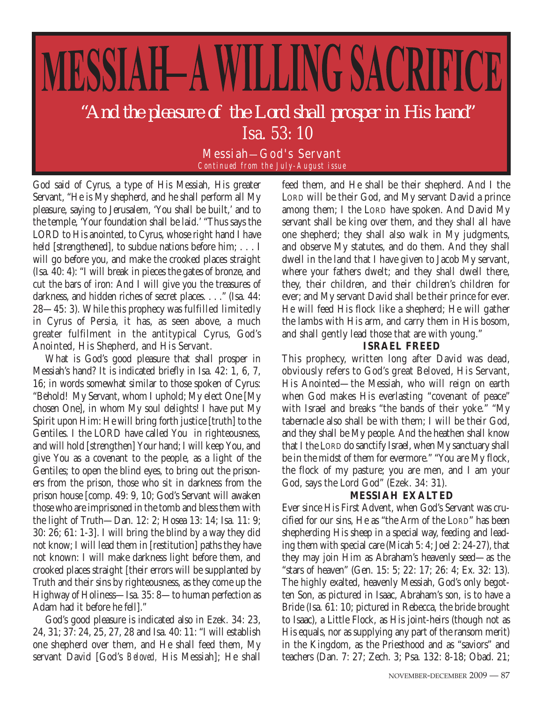# MESSIAH-A WILLING SACRIFICE *"And the pleasure of the Lord shall prosper in His hand"* Isa. 53: 10

Messiah—God's Servant *Continued from the July-August issue*

God said of Cyrus, a type of His Messiah, His greater Servant, "He is My shepherd, and he shall perform all My pleasure, saying to Jerusalem, 'You shall be built,' and to the temple, 'Your foundation shall be laid.' "Thus says the LORD to His anointed, to Cyrus, whose right hand I have held [strengthened], to subdue nations before him; . . . I will go before you, and make the crooked places straight (Isa. 40: 4): "I will break in pieces the gates of bronze, and cut the bars of iron: And I will give you the treasures of darkness, and hidden riches of secret places. . . ." (Isa. 44: 28—45: 3). While this prophecy was fulfilled limitedly in Cyrus of Persia, it has, as seen above, a much greater fulfilment in the antitypical Cyrus, God's Anointed, His Shepherd, and His Servant.

What is God's good pleasure that shall prosper in Messiah's hand? It is indicated briefly in Isa. 42: 1, 6, 7, 16; in words somewhat similar to those spoken of Cyrus: "Behold! My Servant, whom I uphold; My elect One [My chosen One], in whom My soul delights! I have put My Spirit upon Him: He will bring forth justice [truth] to the Gentiles. I the LORD have called You in righteousness, and will hold [strengthen] Your hand; I will keep You, and give You as a covenant to the people, as a light of the Gentiles; to open the blind eyes, to bring out the prisoners from the prison, those who sit in darkness from the prison house [comp. 49: 9, 10; God's Servant will awaken those who are imprisoned in the tomb and bless them with the light of Truth—Dan. 12: 2; Hosea 13: 14; Isa. 11: 9; 30: 26; 61: 1-3]. I will bring the blind by a way they did not know; I will lead them in [restitution] paths they have not known: I will make darkness light before them, and crooked places straight [their errors will be supplanted by Truth and their sins by righteousness, as they come up the Highway of Holiness—Isa. 35: 8—to human perfection as Adam had it before he fell]."

God's good pleasure is indicated also in Ezek. 34: 23, 24, 31; 37: 24, 25, 27, 28 and Isa. 40: 11: "I will establish one shepherd over them, and He shall feed them, My servant David [God's *Beloved,* His Messiah]; He shall feed them, and He shall be their shepherd. And I the LORD will be their God, and My servant David a prince among them; I the LORD have spoken. And David My servant shall be king over them, and they shall all have one shepherd; they shall also walk in My judgments, and observe My statutes, and do them. And they shall dwell in the land that I have given to Jacob My servant, where your fathers dwelt; and they shall dwell there, they, their children, and their children's children for ever; and My servant David shall be their prince for ever. He will feed His flock like a shepherd; He will gather the lambs with His arm, and carry them in His bosom, and shall gently lead those that are with young."

#### **ISRAEL FREED**

This prophecy, written long after David was dead, obviously refers to God's great Beloved, His Servant, His Anointed—the Messiah, who will reign on earth when God makes His everlasting "covenant of peace" with Israel and breaks "the bands of their yoke." "My tabernacle also shall be with them; I will be their God, and they shall be My people. And the heathen shall know that I the LORD do sanctify Israel, when My sanctuary shall be in the midst of them for evermore." "You are My flock, the flock of my pasture; you are men, and I am your God, says the Lord God" (Ezek. 34: 31).

#### **MESSIAH EXALTED**

Ever since His First Advent, when God's Servant was crucified for our sins, He as "the Arm of the LORD" has been shepherding His sheep in a special way, feeding and leading them with special care (Micah 5: 4; Joel 2: 24-27), that they may join Him as Abraham's heavenly seed—as the "stars of heaven" (Gen. 15: 5; 22: 17; 26: 4; Ex. 32: 13). The highly exalted, heavenly Messiah, God's only begotten Son, as pictured in Isaac, Abraham's son, is to have a Bride (Isa. 61: 10; pictured in Rebecca, the bride brought to Isaac), a Little Flock, as His joint-heirs (though not as His equals, nor as supplying any part of the ransom merit) in the Kingdom, as the Priesthood and as "saviors" and teachers (Dan. 7: 27; Zech. 3; Psa. 132: 8-18; Obad. 21;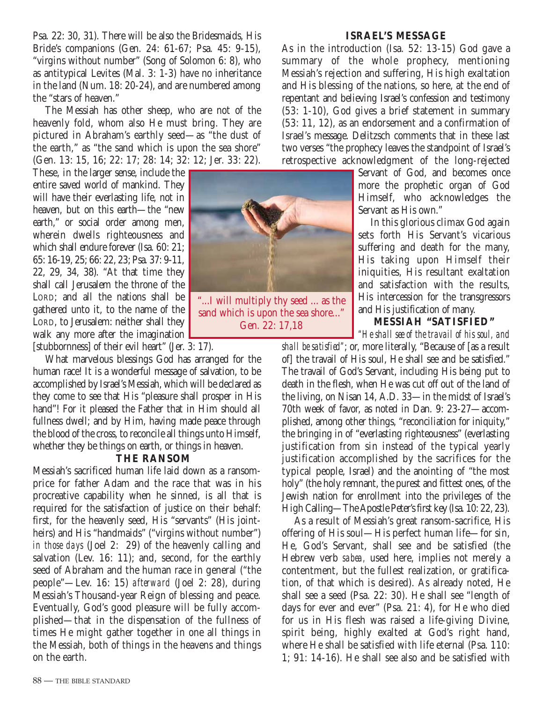Psa. 22: 30, 31). There will be also the Bridesmaids, His Bride's companions (Gen. 24: 61-67; Psa. 45: 9-15), "virgins without number" (Song of Solomon 6: 8), who as antitypical Levites (Mal. 3: 1-3) have no inheritance in the land (Num. 18: 20-24), and are numbered among the "stars of heaven."

The Messiah has other sheep, who are not of the heavenly fold, whom also He must bring. They are pictured in Abraham's earthly seed—as "the dust of the earth," as "the sand which is upon the sea shore" (Gen. 13: 15, 16; 22: 17; 28: 14; 32: 12; Jer. 33: 22).

These, in the larger sense, include the entire saved world of mankind. They will have their everlasting life, not in heaven, but on this earth—the "new earth," or social order among men, wherein dwells righteousness and which shall endure forever (Isa. 60: 21; 65: 16-19, 25; 66: 22, 23; Psa. 37: 9-11, 22, 29, 34, 38). "At that time they shall call Jerusalem the throne of the LORD; and all the nations shall be gathered unto it, to the name of the LORD, to Jerusalem: neither shall they walk any more after the imagination [stubbornness] of their evil heart" (Jer. 3: 17).

What marvelous blessings God has arranged for the human race! It is a wonderful message of salvation, to be accomplished by Israel's Messiah, which will be declared as they come to see that His "pleasure shall prosper in His hand"! For it pleased the Father that in Him should all fullness dwell; and by Him, having made peace through the blood of the cross, to reconcile all things unto Himself, whether they be things on earth, or things in heaven.

#### **THE RANSOM**

Messiah's sacrificed human life laid down as a ransomprice for father Adam and the race that was in his procreative capability when he sinned, is all that is required for the satisfaction of justice on their behalf: first, for the heavenly seed, His "servants" (His jointheirs) and His "handmaids" ("virgins without number") *in those days* (Joel 2: 29) of the heavenly calling and salvation (Lev. 16: 11); and, second, for the earthly seed of Abraham and the human race in general ("the people"—Lev. 16: 15) *afterward* (Joel 2: 28), during Messiah's Thousand-year Reign of blessing and peace. Eventually, God's good pleasure will be fully accomplished—that in the dispensation of the fullness of times He might gather together in one all things in the Messiah, both of things in the heavens and things on the earth.



sand which is upon the sea shore..." Gen. 22: 17,18

#### **ISRAEL'S MESSAGE**

As in the introduction (Isa. 52: 13-15) God gave a summary of the whole prophecy, mentioning Messiah's rejection and suffering, His high exaltation and His blessing of the nations, so here, at the end of repentant and believing Israel's confession and testimony (53: 1-10), God gives a brief statement in summary (53: 11, 12), as an endorsement and a confirmation of Israel's message. Delitzsch comments that in these last two verses "the prophecy leaves the standpoint of Israel's retrospective acknowledgment of the long-rejected

Servant of God, and becomes once more the prophetic organ of God Himself, who acknowledges the Servant as His own."

In this glorious climax God again sets forth His Servant's vicarious suffering and death for the many, His taking upon Himself their iniquities, His resultant exaltation and satisfaction with the results, His intercession for the transgressors and His justification of many.

**MESSIAH "SATISFIED"**

*"He shall see of the travail of his soul, and*

*shall be satisfied"*; or, more literally, "Because of [as a result of] the travail of His soul, He shall see and be satisfied." The travail of God's Servant, including His being put to death in the flesh, when He was cut off out of the land of the living, on Nisan 14, A.D. 33—in the midst of Israel's 70th week of favor, as noted in Dan. 9: 23-27—accomplished, among other things, "reconciliation for iniquity," the bringing in of "everlasting righteousness" (everlasting justification from sin instead of the typical yearly justification accomplished by the sacrifices for the typical people, Israel) and the anointing of "the most holy" (the holy remnant, the purest and fittest ones, of the Jewish nation for enrollment into the privileges of the High Calling—The Apostle Peter's first key (Isa. 10: 22, 23).

As a result of Messiah's great ransom-sacrifice, His offering of His soul—His perfect human life—for sin, He, God's Servant, shall see and be satisfied (the Hebrew verb *sabea,* used here, implies not merely a contentment, but the fullest realization, or gratification, of that which is desired). As already noted, He shall see a seed (Psa. 22: 30). He shall see "length of days for ever and ever" (Psa. 21: 4), for He who died for us in His flesh was raised a life-giving Divine, spirit being, highly exalted at God's right hand, where He shall be satisfied with life eternal (Psa. 110: 1; 91: 14-16). He shall see also and be satisfied with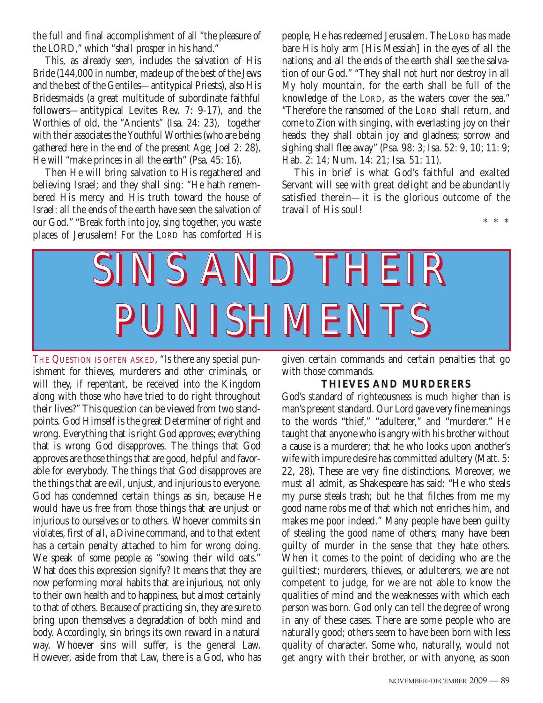the full and final accomplishment of all "the pleasure of the LORD," which "shall prosper in his hand."

This, as already seen, includes the salvation of His Bride (144,000 in number, made up of the best of the Jews and the best of the Gentiles—antitypical Priests), also His Bridesmaids (a great multitude of subordinate faithful followers—antitypical Levites Rev. 7: 9-17), and the Worthies of old, the "Ancients" (Isa. 24: 23), together with their associates the Youthful Worthies (who are being gathered here in the end of the present Age; Joel 2: 28), He will "make princes in all the earth" (Psa. 45: 16).

Then He will bring salvation to His regathered and believing Israel; and they shall sing: "He hath remembered His mercy and His truth toward the house of Israel: all the ends of the earth have seen the salvation of our God." "Break forth into joy, sing together, you waste places of Jerusalem! For the LORD has comforted His

people, He has redeemed Jerusalem. The LORD has made bare His holy arm [His Messiah] in the eyes of all the nations; and all the ends of the earth shall see the salvation of our God." "They shall not hurt nor destroy in all My holy mountain, for the earth shall be full of the knowledge of the LORD, as the waters cover the sea." "Therefore the ransomed of the LORD shall return, and come to Zion with singing, with everlasting joy on their heads: they shall obtain joy and gladness; sorrow and sighing shall flee away" (Psa. 98: 3; Isa. 52: 9, 10; 11: 9; Hab. 2: 14; Num. 14: 21; Isa. 51: 11).

This in brief is what God's faithful and exalted Servant will see with great delight and be abundantly satisfied therein—it is the glorious outcome of the travail of His soul!

\*\*\*



THE QUESTION IS OFTEN ASKED, "Is there any special punishment for thieves, murderers and other criminals, or will they, if repentant, be received into the Kingdom along with those who have tried to do right throughout their lives?" This question can be viewed from two standpoints. God Himself is the great Determiner of right and wrong. Everything that is right God approves; everything that is wrong God disapproves. The things that God approves are those things that are good, helpful and favorable for everybody. The things that God disapproves are the things that are evil, unjust, and injurious to everyone. God has condemned certain things as sin, because He would have us free from those things that are unjust or injurious to ourselves or to others. Whoever commits sin violates, first of all, a Divine command, and to that extent has a certain penalty attached to him for wrong doing. We speak of some people as "sowing their wild oats." What does this expression signify? It means that they are now performing moral habits that are injurious, not only to their own health and to happiness, but almost certainly to that of others. Because of practicing sin, they are sure to bring upon themselves a degradation of both mind and body. Accordingly, sin brings its own reward in a natural way. Whoever sins will suffer, is the general Law. However, aside from that Law, there is a God, who has

given certain commands and certain penalties that go with those commands.

#### **THIEVES AND MURDERERS**

God's standard of righteousness is much higher than is man's present standard. Our Lord gave very fine meanings to the words "thief," "adulterer," and "murderer." He taught that anyone who is angry with his brother without a cause is a murderer; that he who looks upon another's wife with impure desire has committed adultery (Matt. 5: 22, 28). These are very fine distinctions. Moreover, we must all admit, as Shakespeare has said: "He who steals my purse steals trash; but he that filches from me my good name robs me of that which not enriches him, and makes me poor indeed." Many people have been guilty of stealing the good name of others; many have been guilty of murder in the sense that they hate others. When it comes to the point of deciding who are the guiltiest; murderers, thieves, or adulterers, we are not competent to judge, for we are not able to know the qualities of mind and the weaknesses with which each person was born. God only can tell the degree of wrong in any of these cases. There are some people who are naturally good; others seem to have been born with less quality of character. Some who, naturally, would not get angry with their brother, or with anyone, as soon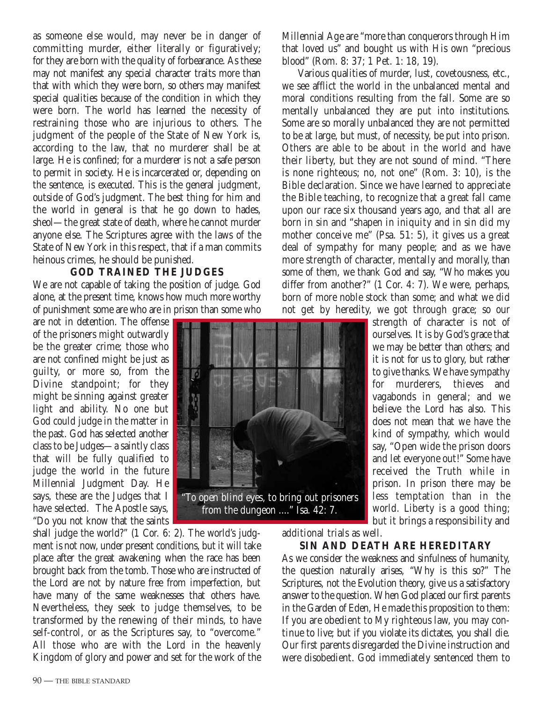as someone else would, may never be in danger of committing murder, either literally or figuratively; for they are born with the quality of forbearance. As these may not manifest any special character traits more than that with which they were born, so others may manifest special qualities because of the condition in which they were born. The world has learned the necessity of restraining those who are injurious to others. The judgment of the people of the State of New York is, according to the law, that no murderer shall be at large. He is confined; for a murderer is not a safe person to permit in society. He is incarcerated or, depending on the sentence, is executed. This is the general judgment, outside of God's judgment. The best thing for him and the world in general is that he go down to hades, sheol—the great state of death, where he cannot murder anyone else. The Scriptures agree with the laws of the State of New York in this respect, that if a man commits heinous crimes, he should be punished.

#### **GOD TRAINED THE JUDGES**

We are not capable of taking the position of judge. God alone, at the present time, knows how much more worthy of punishment some are who are in prison than some who

are not in detention. The offense of the prisoners might outwardly be the greater crime; those who are not confined might be just as guilty, or more so, from the Divine standpoint; for they might be sinning against greater light and ability. No one but God could judge in the matter in the past. God has selected another class to be Judges—a saintly class that will be fully qualified to judge the world in the future Millennial Judgment Day. He says, these are the Judges that I have selected. The Apostle says, "Do you not know that the saints

shall judge the world?" (1 Cor. 6: 2). The world's judgment is not now, under present conditions, but it will take place after the great awakening when the race has been brought back from the tomb. Those who are instructed of the Lord are not by nature free from imperfection, but have many of the same weaknesses that others have. Nevertheless, they seek to judge themselves, to be transformed by the renewing of their minds, to have self-control, or as the Scriptures say, to "overcome." All those who are with the Lord in the heavenly Kingdom of glory and power and set for the work of the Millennial Age are "more than conquerors through Him that loved us" and bought us with His own "precious blood" (Rom. 8: 37; 1 Pet. 1: 18, 19).

Various qualities of murder, lust, covetousness, etc., we see afflict the world in the unbalanced mental and moral conditions resulting from the fall. Some are so mentally unbalanced they are put into institutions. Some are so morally unbalanced they are not permitted to be at large, but must, of necessity, be put into prison. Others are able to be about in the world and have their liberty, but they are not sound of mind. "There is none righteous; no, not one" (Rom. 3: 10), is the Bible declaration. Since we have learned to appreciate the Bible teaching, to recognize that a great fall came upon our race six thousand years ago, and that all are born in sin and "shapen in iniquity and in sin did my mother conceive me" (Psa. 51: 5), it gives us a great deal of sympathy for many people; and as we have more strength of character, mentally and morally, than some of them, we thank God and say, "Who makes you differ from another?" (1 Cor. 4: 7). We were, perhaps, born of more noble stock than some; and what we did not get by heredity, we got through grace; so our

strength of character is not of ourselves. It is by God's grace that we may be better than others; and it is not for us to glory, but rather to give thanks. We have sympathy for murderers, thieves and vagabonds in general; and we believe the Lord has also. This does not mean that we have the kind of sympathy, which would say, "Open wide the prison doors and let everyone out!" Some have received the Truth while in prison. In prison there may be less temptation than in the world. Liberty is a good thing; but it brings a responsibility and

additional trials as well.

#### **SIN AND DEATH ARE HEREDITARY**

As we consider the weakness and sinfulness of humanity, the question naturally arises, "Why is this so?" The Scriptures, not the Evolution theory, give us a satisfactory answer to the question. When God placed our first parents in the Garden of Eden, He made this proposition to them: If you are obedient to My righteous law, you may continue to live; but if you violate its dictates, you shall die. Our first parents disregarded the Divine instruction and were disobedient. God immediately sentenced them to

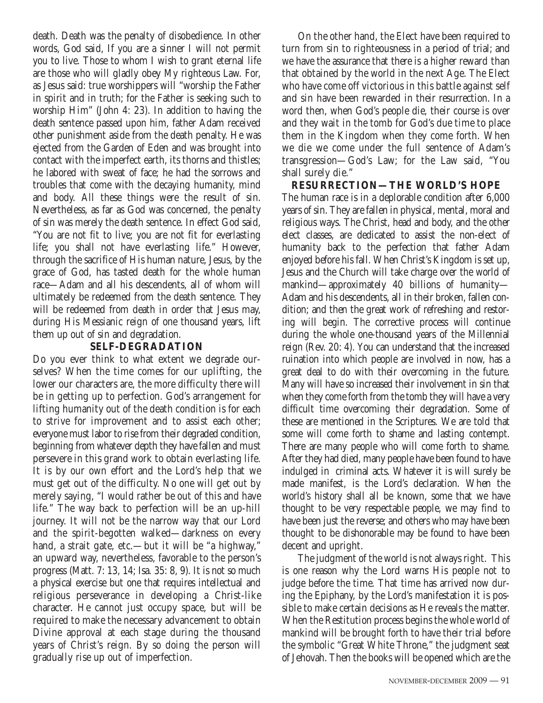death. Death was the penalty of disobedience. In other words, God said, If you are a sinner I will not permit you to live. Those to whom I wish to grant eternal life are those who will gladly obey My righteous Law. For, as Jesus said: true worshippers will "worship the Father in spirit and in truth; for the Father is seeking such to worship Him" (John 4: 23). In addition to having the death sentence passed upon him, father Adam received other punishment aside from the death penalty. He was ejected from the Garden of Eden and was brought into contact with the imperfect earth, its thorns and thistles; he labored with sweat of face; he had the sorrows and troubles that come with the decaying humanity, mind and body. All these things were the result of sin. Nevertheless, as far as God was concerned, the penalty of sin was merely the death sentence. In effect God said, "You are not fit to live; you are not fit for everlasting life; you shall not have everlasting life." However, through the sacrifice of His human nature, Jesus, by the grace of God, has tasted death for the whole human race—Adam and all his descendents, all of whom will ultimately be redeemed from the death sentence. They will be redeemed from death in order that Jesus may, during His Messianic reign of one thousand years, lift them up out of sin and degradation.

#### **SELF-DEGRADATION**

Do you ever think to what extent we degrade ourselves? When the time comes for our uplifting, the lower our characters are, the more difficulty there will be in getting up to perfection. God's arrangement for lifting humanity out of the death condition is for each to strive for improvement and to assist each other; everyone must labor to rise from their degraded condition, beginning from whatever depth they have fallen and must persevere in this grand work to obtain everlasting life. It is by our own effort and the Lord's help that we must get out of the difficulty. No one will get out by merely saying, "I would rather be out of this and have life." The way back to perfection will be an up-hill journey. It will not be the narrow way that our Lord and the spirit-begotten walked—darkness on every hand, a strait gate, etc.—but it will be "a highway," an upward way, nevertheless, favorable to the person's progress (Matt. 7: 13, 14; Isa. 35: 8, 9). It is not so much a physical exercise but one that requires intellectual and religious perseverance in developing a Christ-like character. He cannot just occupy space, but will be required to make the necessary advancement to obtain Divine approval at each stage during the thousand years of Christ's reign. By so doing the person will gradually rise up out of imperfection.

On the other hand, the Elect have been required to turn from sin to righteousness in a period of trial; and we have the assurance that there is a higher reward than that obtained by the world in the next Age. The Elect who have come off victorious in this battle against self and sin have been rewarded in their resurrection. In a word then, when God's people die, their course is over and they wait in the tomb for God's due time to place them in the Kingdom when they come forth. When we die we come under the full sentence of Adam's transgression—God's Law; for the Law said, "You shall surely die."

**RESURRECTION—THE WORLD'S HOPE** The human race is in a deplorable condition after 6,000 years of sin. They are fallen in physical, mental, moral and religious ways. The Christ, head and body, and the other elect classes, are dedicated to assist the non-elect of humanity back to the perfection that father Adam enjoyed before his fall. When Christ's Kingdom is set up, Jesus and the Church will take charge over the world of mankind—approximately 40 billions of humanity— Adam and his descendents, all in their broken, fallen condition; and then the great work of refreshing and restoring will begin. The corrective process will continue during the whole one-thousand years of the Millennial reign (Rev. 20: 4). You can understand that the increased ruination into which people are involved in now, has a great deal to do with their overcoming in the future. Many will have so increased their involvement in sin that when they come forth from the tomb they will have a very difficult time overcoming their degradation. Some of these are mentioned in the Scriptures. We are told that some will come forth to shame and lasting contempt. There are many people who will come forth to shame. After they had died, many people have been found to have indulged in criminal acts. Whatever it is will surely be made manifest, is the Lord's declaration. When the world's history shall all be known, some that we have thought to be very respectable people, we may find to have been just the reverse; and others who may have been thought to be dishonorable may be found to have been decent and upright.

The judgment of the world is not always right. This is one reason why the Lord warns His people not to judge before the time. That time has arrived now during the Epiphany, by the Lord's manifestation it is possible to make certain decisions as He reveals the matter. When the Restitution process begins the whole world of mankind will be brought forth to have their trial before the symbolic "Great White Throne," the judgment seat of Jehovah. Then the books will be opened which are the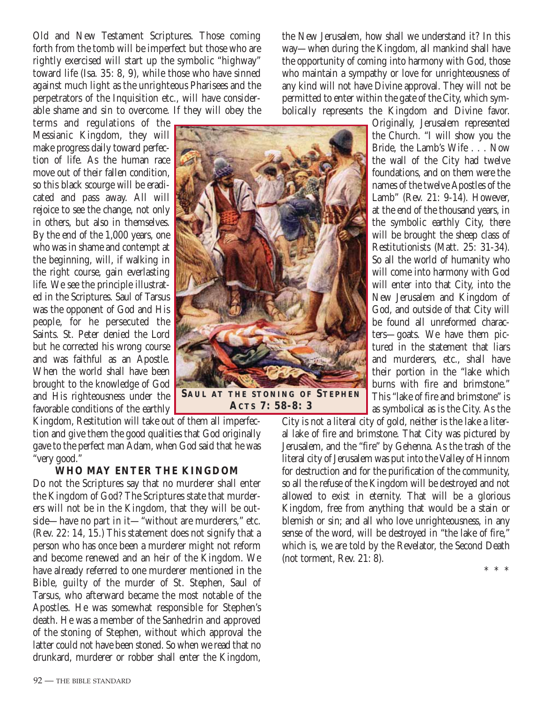Old and New Testament Scriptures. Those coming forth from the tomb will be imperfect but those who are rightly exercised will start up the symbolic "highway" toward life (Isa. 35: 8, 9), while those who have sinned against much light as the unrighteous Pharisees and the perpetrators of the Inquisition etc., will have considerable shame and sin to overcome. If they will obey the

terms and regulations of the Messianic Kingdom, they will make progress daily toward perfection of life. As the human race move out of their fallen condition, so this black scourge will be eradicated and pass away. All will rejoice to see the change, not only in others, but also in themselves. By the end of the 1,000 years, one who was in shame and contempt at the beginning, will, if walking in the right course, gain everlasting life. We see the principle illustrated in the Scriptures. Saul of Tarsus was the opponent of God and His people, for he persecuted the Saints. St. Peter denied the Lord but he corrected his wrong course and was faithful as an Apostle. When the world shall have been brought to the knowledge of God and His righteousness under the favorable conditions of the earthly

Kingdom, Restitution will take out of them all imperfection and give them the good qualities that God originally gave to the perfect man Adam, when God said that he was "very good." **ACTS 7: 58-8: 3 7: 58-8: 3**

#### **WHO MAY ENTER THE KINGDOM**

Do not the Scriptures say that no murderer shall enter the Kingdom of God? The Scriptures state that murderers will not be in the Kingdom, that they will be outside—have no part in it—"without are murderers," etc. (Rev. 22: 14, 15.) This statement does not signify that a person who has once been a murderer might not reform and become renewed and an heir of the Kingdom. We have already referred to one murderer mentioned in the Bible, guilty of the murder of St. Stephen, Saul of Tarsus, who afterward became the most notable of the Apostles. He was somewhat responsible for Stephen's death. He was a member of the Sanhedrin and approved of the stoning of Stephen, without which approval the latter could not have been stoned. So when we read that no drunkard, murderer or robber shall enter the Kingdom,

the New Jerusalem, how shall we understand it? In this way—when during the Kingdom, all mankind shall have the opportunity of coming into harmony with God, those who maintain a sympathy or love for unrighteousness of any kind will not have Divine approval. They will not be permitted to enter within the gate of the City, which symbolically represents the Kingdom and Divine favor.

Originally, Jerusalem represented the Church. "I will show you the Bride, the Lamb's Wife . . . Now the wall of the City had twelve foundations, and on them were the names of the twelve Apostles of the Lamb" (Rev. 21: 9-14). However, at the end of the thousand years, in the symbolic earthly City, there will be brought the sheep class of Restitutionists (Matt. 25: 31-34). So all the world of humanity who will come into harmony with God will enter into that City, into the New Jerusalem and Kingdom of God, and outside of that City will be found all unreformed characters—goats. We have them pictured in the statement that liars and murderers, etc., shall have their portion in the "lake which burns with fire and brimstone." This "lake of fire and brimstone" is as symbolical as is the City. As the

City is not a literal city of gold, neither is the lake a literal lake of fire and brimstone. That City was pictured by Jerusalem, and the "fire" by Gehenna. As the trash of the literal city of Jerusalem was put into the Valley of Hinnom for destruction and for the purification of the community, so all the refuse of the Kingdom will be destroyed and not allowed to exist in eternity. That will be a glorious Kingdom, free from anything that would be a stain or blemish or sin; and all who love unrighteousness, in any sense of the word, will be destroyed in "the lake of fire," which is, we are told by the Revelator, the Second Death (not torment, Rev. 21: 8).

\*\*\*

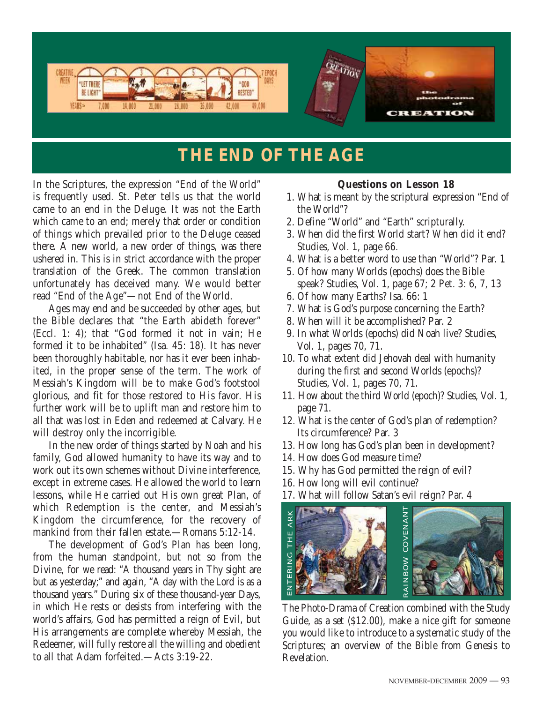

## **THE END OF THE AGE**

In the Scriptures, the expression "End of the World" is frequently used. St. Peter tells us that the world came to an end in the Deluge. It was not the Earth which came to an end; merely that order or condition of things which prevailed prior to the Deluge ceased there. A new world, a new order of things, was there ushered in. This is in strict accordance with the proper translation of the Greek. The common translation unfortunately has deceived many. We would better read "End of the Age"—not End of the World.

Ages may end and be succeeded by other ages, but the Bible declares that "the Earth abideth forever" (Eccl. 1: 4); that "God formed it not in vain; He formed it to be inhabited" (Isa. 45: 18). It has never been thoroughly habitable, nor has it ever been inhabited, in the proper sense of the term. The work of Messiah's Kingdom will be to make God's footstool glorious, and fit for those restored to His favor. His further work will be to uplift man and restore him to all that was lost in Eden and redeemed at Calvary. He will destroy only the incorrigible.

In the new order of things started by Noah and his family, God allowed humanity to have its way and to work out its own schemes without Divine interference, except in extreme cases. He allowed the world to learn lessons, while He carried out His own great Plan, of which Redemption is the center, and Messiah's Kingdom the circumference, for the recovery of mankind from their fallen estate.—Romans 5:12-14.

The development of God's Plan has been long, from the human standpoint, but not so from the Divine, for we read: "A thousand years in Thy sight are but as yesterday;" and again, "A day with the Lord is as a thousand years." During six of these thousand-year Days, in which He rests or desists from interfering with the world's affairs, God has permitted a reign of Evil, but His arrangements are complete whereby Messiah, the Redeemer, will fully restore all the willing and obedient to all that Adam forfeited.—Acts 3:19-22.

#### **Questions on Lesson 18**

- 1. What is meant by the scriptural expression "End of the World"?
- 2. Define "World" and "Earth" scripturally.
- 3. When did the first World start? When did it end? Studies, Vol. 1, page 66.
- 4. What is a better word to use than "World"? Par. 1
- 5. Of how many Worlds (epochs) does the Bible speak? Studies, Vol. 1, page 67; 2 Pet. 3: 6, 7, 13
- 6. Of how many Earths? Isa. 66: 1
- 7. What is God's purpose concerning the Earth?
- 8. When will it be accomplished? Par. 2
- 9. In what Worlds (epochs) did Noah live? Studies, Vol. 1, pages 70, 71.
- 10. To what extent did Jehovah deal with humanity during the first and second Worlds (epochs)? Studies, Vol. 1, pages 70, 71.
- 11. How about the third World (epoch)? Studies, Vol. 1, page 71.
- 12. What is the center of God's plan of redemption? Its circumference? Par. 3
- 13. How long has God's plan been in development?
- 14. How does God measure time?
- 15. Why has God permitted the reign of evil?
- 16. How long will evil continue?
- 17. What will follow Satan's evil reign? Par. 4



The Photo-Drama of Creation combined with the Study Guide, as a set (\$12.00), make a nice gift for someone you would like to introduce to a systematic study of the Scriptures; an overview of the Bible from Genesis to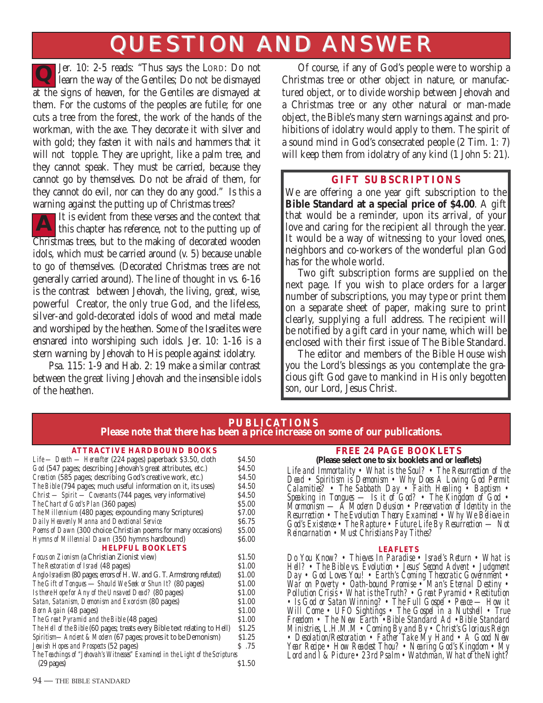# QUESTION AND ANSWER QUESTION AND ANSWER

Jer. 10: 2-5 reads: "Thus says the LORD: Do not learn the way of the Gentiles; Do not be dismayed at the signs of heaven, for the Gentiles are dismayed at them. For the customs of the peoples are futile; for one cuts a tree from the forest, the work of the hands of the workman, with the axe. They decorate it with silver and with gold; they fasten it with nails and hammers that it will not topple. They are upright, like a palm tree, and they cannot speak. They must be carried, because they cannot go by themselves. Do not be afraid of them, for they cannot do evil, nor can they do any good." Is this a warning against the putting up of Christmas trees? **Q**

It is evident from these verses and the context that this chapter has reference, not to the putting up of Christmas trees, but to the making of decorated wooden idols, which must be carried around (v. 5) because unable to go of themselves. (Decorated Christmas trees are not generally carried around). The line of thought in vs. 6-16 is the contrast between Jehovah, the living, great, wise, powerful Creator, the only true God, and the lifeless, silver-and gold-decorated idols of wood and metal made and worshiped by the heathen. Some of the Israelites were ensnared into worshiping such idols. Jer. 10: 1-16 is a stern warning by Jehovah to His people against idolatry. **A**

Psa. 115: 1-9 and Hab. 2: 19 make a similar contrast between the great living Jehovah and the insensible idols of the heathen.

Of course, if any of God's people were to worship a Christmas tree or other object in nature, or manufactured object, or to divide worship between Jehovah and a Christmas tree or any other natural or man-made object, the Bible's many stern warnings against and prohibitions of idolatry would apply to them. The spirit of a sound mind in God's consecrated people (2 Tim. 1: 7) will keep them from idolatry of any kind (1 John 5: 21).

#### **GIFT SUBSCRIPTIONS**

We are offering a one year gift subscription to the **Bible Standard at a special price of \$4.00**. A gift that would be a reminder, upon its arrival, of your love and caring for the recipient all through the year. It would be a way of witnessing to your loved ones, neighbors and co-workers of the wonderful plan God has for the whole world.

Two gift subscription forms are supplied on the next page. If you wish to place orders for a larger number of subscriptions, you may type or print them on a separate sheet of paper, making sure to print clearly, supplying a full address. The recipient will be notified by a gift card in your name, which will be enclosed with their first issue of The Bible Standard.

The editor and members of the Bible House wish you the Lord's blessings as you contemplate the gracious gift God gave to mankind in His only begotten son, our Lord, Jesus Christ.

#### **PUBLICATIONS Please note that there has been a price increase on some of our publications.**

#### **ATTRACTIVE HARDBOUND BOOKS**

| Life — Death — Hereafter (224 pages) paperback \$3.50, cloth                   | S <sub>4.50</sub> |
|--------------------------------------------------------------------------------|-------------------|
| God (547 pages; describing Jehovah's great attributes, etc.)                   | \$4.50            |
| Creation (585 pages; describing God's creative work, etc.)                     | S <sub>4.50</sub> |
| The Bible (794 pages; much useful information on it, its uses)                 | S <sub>4.50</sub> |
| Christ - Spirit - Covenants (744 pages, very informative)                      | S <sub>4.50</sub> |
| The Chart of God's Plan (360 pages)                                            | \$5.00            |
| The Millennium (480 pages; expounding many Scriptures)                         | S7.00             |
| Daily Heavenly Manna and Devotional Service                                    | S <sub>6.75</sub> |
| Poems of Dawn (300 choice Christian poems for many occasions)                  | \$5.00            |
| Hymns of Millennial Dawn (350 hymns hardbound)                                 | S <sub>6.00</sub> |
| <b>HELPFUL BOOKLETS</b>                                                        |                   |
| <i>Focus on Zionism</i> (a Christian Zionist view)                             | \$1.50            |
| <i>The Restoration of Israel</i> (48 pages)                                    | \$1.00            |
| Anglo-Israelism (80 pages; errors of H. W. and G. T. Armstrong refuted)        | \$1.00            |
| The Gift of Tongues - Should We Seek or Shun It? (80 pages)                    | \$1.00            |
| Is there Hope for Any of the Unsaved Dead? (80 pages)                          | \$1.00            |
| Satan, Satanism, Demonism and Exorcism (80 pages)                              | \$1.00            |
| <i>Born Again</i> (48 pages)                                                   | \$1.00            |
| The Great Pyramid and the Bible (48 pages)                                     | \$1.00            |
| The Hell of the Bible (60 pages; treats every Bible text relating to Hell)     | \$1.25            |
| Spiritism—Ancient & Modern (67 pages; proves it to be Demonism)                | S1.25             |
| Jewish Hopes and Prospects (52 pages)                                          | S.75              |
| The Teachings of "Jehovah's Witnesses" Examined in the Light of the Scriptures |                   |
| $(29 \text{ pages})$                                                           | \$1.50            |
|                                                                                |                   |

#### **FREE 24 PAGE BOOKLETS**

**(Please select one to six booklets and or leaflets)** *Life and Immortality • What is the Soul? • The Resurrection of the*

*Dead • Spiritism is Demonism • Why Does A Loving God Permit Calamities? • The Sabbath Day • Faith Healing • Baptism • Speaking in Tongues — Is it of God? • The Kingdom of God • Mormonism — A Modern Delusion • Preservation of Identity in the Resurrection • The Evolution Theory Examined • Why We Believe in God's Existence • The Rapture • Future Life By Resurrection — Not Reincarnation • Must Christians Pay Tithes?*

#### **LEAFLETS**

*Do You Know? • Thieves In Paradise • Israel's Return • What is Hell? • The Bible vs. Evolution • Jesus' Second Advent • Judgment Day • God Loves You! • Earth's Coming Theocratic Government • War on Poverty • Oath-bound Promise • Man's Eternal Destiny • Pollution Crisis • What is the Truth? • Great Pyramid • Restitution • Is God or Satan Winning? • The Full Gospel • Peace — How it Will Come • UFO Sightings • The Gospel in a Nutshell • True Freedom • The New Earth •Bible Standard Ad •Bible Standard Ministries, L.H.M.M • Coming By and By • Christ's Glorious Reign • Desolation/Restoration • Father Take My Hand • A Good New Year Recipe • How Readest Thou? • Nearing God's Kingdom • My Lord and I & Picture • 23rd Psalm • Watchman, What of the Night?*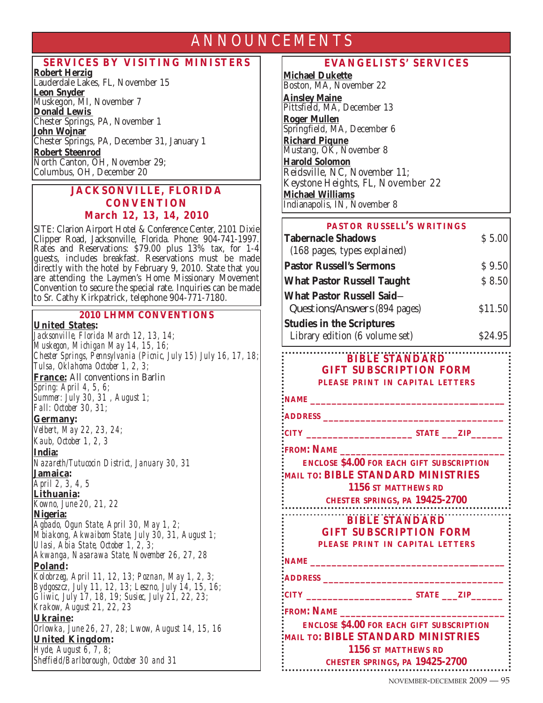### ANNOUNCEMENTS

#### **SERVICES BY VISITING MINISTERS**

**Robert Herzig** Lauderdale Lakes, FL, November 15 **Leon Snyder** Muskegon, MI, November 7 **Donald Lewis**  Chester Springs, PA, November 1 **John Wojnar** Chester Springs, PA, December 31, January 1 **Robert Steenrod** North Canton, OH, November 29; Columbus, OH, December 20

#### **JACKSONVILLE, FLORIDA CONVENTION March 12, 13, 14, 2010**

SITE: Clarion Airport Hotel & Conference Center, 2101 Dixie Clipper Road, Jacksonville, Florida. Phone: 904-741-1997. Rates and Reservations: \$79.00 plus 13% tax, for 1-4 guests, includes breakfast. Reservations must be made directly with the hotel by February 9, 2010. State that you are attending the Laymen's Home Missionary Movement Convention to secure the special rate. Inquiries can be made to Sr. Cathy Kirkpatrick, telephone 904-771-7180.

#### **2010 LHMM CONVENTIONS**

**United States:** 

*Jacksonville, Florida March 12, 13, 14; Muskegon, Michigan May 14, 15, 16; Chester Springs, Pennsylvania (Picnic, July 15) July 16, 17, 18; Tulsa, Oklahoma October 1, 2, 3;* **France:** All conventions in Barlin *Spring: April 4, 5, 6; Summer: July 30, 31 , August 1; Fall: October 30, 31;* **Germany:**  *Velbert, May 22, 23, 24; Kaub, October 1, 2, 3* **India:** *Nazareth/Tutucocin District, January 30, 31* **Jamaica:**  *April 2, 3, 4, 5*  **Lithuania:** *Kowno, June 20, 21, 22* **Nigeria:** *Agbado, Ogun State, April 30, May 1, 2; Mbiakong, Akwaibom State, July 30, 31, August 1; Ulasi, Abia State, October 1, 2, 3; Akwanga, Nasarawa State, November 26, 27, 28* **Poland:** *Kolobrzeg, April 11, 12, 13; Poznan, May 1, 2, 3; Bydgoszcz, July 11, 12, 13; Leszno, July 14, 15, 16; Gliwic, July 17, 18, 19; Susiec, July 21, 22, 23; Krakow, August 21, 22, 23* **Ukraine:** *Orlowka, June 26, 27, 28; Lwow, August 14, 15, 16* **United Kingdom:**  *Hyde, August 6, 7, 8; Sheffield/Barlborough, October 30 and 31*

#### **EVANGELISTS' SERVICES**

**Michael Dukette** Boston, MA, November 22 **Ainsley Maine** Pittsfield, MA, December 13 **Roger Mullen** Springfield, MA, December 6 **Richard Piqune** Mustang, OK, November 8 **Harold Solomon** Reidsville, NC, November 11; Keystone Heights, FL, November 22 **Michael Williams** Indianapolis, IN, November 8

| PASTOR RUSSELL'S WRITINGS         |         |
|-----------------------------------|---------|
| <b>Tabernacle Shadows</b>         | \$5.00  |
| (168 pages, types explained)      |         |
| <b>Pastor Russell's Sermons</b>   | \$9.50  |
| <b>What Pastor Russell Taught</b> | \$8.50  |
| What Pastor Russell Said—         |         |
| Questions/Answers (894 pages)     | \$11.50 |
| <b>Studies in the Scriptures</b>  |         |
| Library edition (6 volume set)    | \$24.95 |

#### **BIBLE STANDARD GIFT SUBSCRIPTION FORM PLEASE PRINT IN CAPITAL LETTERS**

```
ADDRESS __________________________________
```

```
CITY ____________________ STATE ___ZIP______
```
**FROM: NAME \_\_\_\_\_\_\_\_\_\_\_\_\_\_\_\_\_\_\_\_\_\_\_\_\_\_\_\_\_\_\_**

**E NCLOSE \$4.00 FOR EACH GIFT SUBSCRIPTION MAIL TO: BIBLE STANDARD MINISTRIES 1156 ST MATTHEWS RD**

**CHESTER SPRINGS, PA 19425-2700**

**BIBLE STANDARD** 

**GIFT SUBSCRIPTION FORM PLEASE PRINT IN CAPITAL LETTERS**

**NAME \_\_\_\_\_\_\_\_\_\_\_\_\_\_\_\_\_\_\_\_\_\_\_\_\_\_\_\_\_\_\_\_\_\_\_\_\_**

**ADDRESS \_\_\_\_\_\_\_\_\_\_\_\_\_\_\_\_\_\_\_\_\_\_\_\_\_\_\_\_\_\_\_\_\_\_**

**CITY \_\_\_\_\_\_\_\_\_\_\_\_\_\_\_\_\_\_\_\_ STATE \_\_\_ZIP\_\_\_\_\_\_**

**FROM: NAME \_\_\_\_\_\_\_\_\_\_\_\_\_\_\_\_\_\_\_\_\_\_\_\_\_\_\_\_\_\_\_**

**E NCLOSE \$4.00 FOR EACH GIFT SUBSCRIPTION MAIL TO: BIBLE STANDARD MINISTRIES 1156 ST MATTHEWS RD CHESTER SPRINGS, PA 19425-2700**

NOVEMBER-DECEMBER 2009 — 95